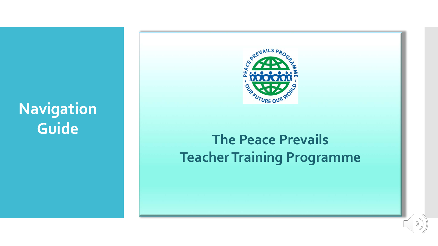# **Navigation Guide**



## Teacher Training **The Peace Prevails Teacher Training Programme**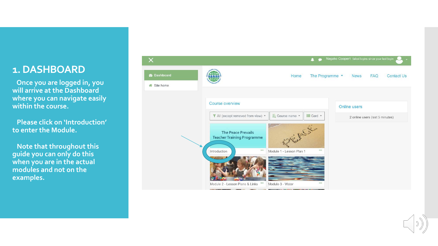### **1. DASHBOARD**

**Once you are logged in, you will arrive at the Dashboard where you can navigate easily within the course.** 

**Please click on 'Introduction' to enter the Module.**

**Note that throughout this guide you can only do this when you are in the actual modules and not on the examples.**

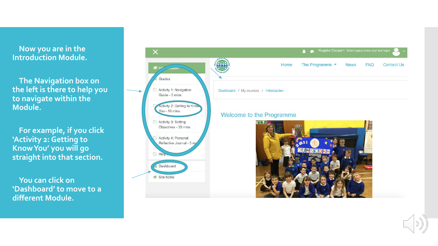### **Now you are in the Introduction Module.**

 **The Navigation box on the left is there to help you to navigate within the Module.** 

 **For example, if you click 'Activity 2: Getting to Know You' you will go straight into that section.**

 **You can click on 'Dashboard' to move to a different Module.**



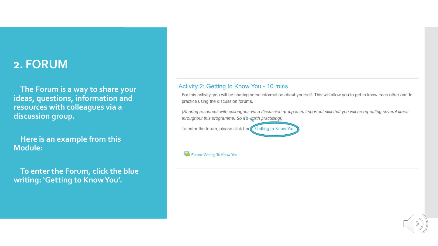## **2. FORUM**

 **The Forum is a way to share your ideas, questions, information and resources with colleagues via a discussion group.**

 **Here is an example from this Module:**

 **To enter the Forum, click the blue writing: 'Getting to Know You'.** 

#### Activity 2: Getting to Know You - 10 mins

For this activity, you will be sharing some information about yourself. This will allow you to get to know each other and to practice using the discussion forums.

(Sharing resources with colleagues via a discussion group is an important skill that you will be repeating several times throughout this programme. So it's worth practising!)

To enter the forum, please click here Getting to Know You

Forum: Getting To Know You

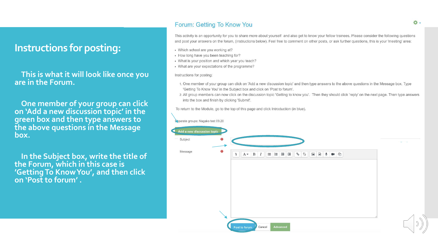### **Instructions for posting:**

 **This is what it will look like once you are in the Forum.**

 **One member of your group can click on 'Add a new discussion topic' in the green box and then type answers to the above questions in the Message box.** 

 **In the Subject box, write the title of the Forum, which in this case is 'Getting To Know You', and then click on 'Post to forum' .**

#### Forum: Getting To Know You

This activity is an opportunity for you to share more about yourself and also get to know your fellow trainees. Please consider the following questions and post your answers on the forum, (instructions below). Feel free to comment on other posts, or ask further questions, this is your 'meeting' area:

- Which school are you working at?
- How long have you been teaching for?
- What is your position and which year you teach?
- What are your expectations of the programme?

Instructions for posting:

- 1. One member of your group can click on 'Add a new discussion topic' and then type answers to the above questions in the Message box. Type 'Getting To Know You' in the Subject box and click on 'Post to forum'.
- 2. All group members can now click on the discussion topic 'Getting to know you'. Then they should click 'reply' on the next page. Then type answers into the box and finish by clicking 'Submit'.

To return to the Module, go to the top of this page and click Introduction (in blue).

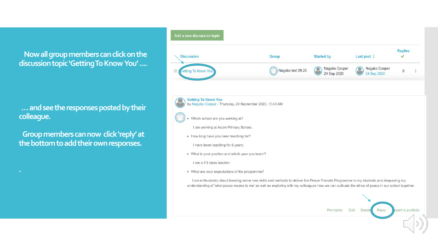**Now all group members can click on the discussion topic 'Getting To Know You' ....**

**…and see the responses posted by their colleague.** 

**Group members can now click 'reply' at the bottom to add their own responses.**

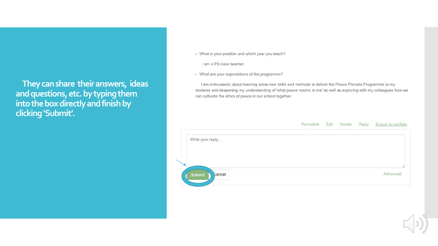They can share their answers, ideas and questions, etc. by typing them into the box directly and finish by clicking 'Submit'.

• What is your position and which year you teach?

Lam a P3 class teacher.

• What are your expectations of the programme?

I am enthusiastic about learning some new skills and methods to deliver the Peace Prevails Programme to my students and deepening my understanding of 'what peace means to me' as well as exploring with my colleagues how we can cultivate the ethos of peace in our school together.

#### Export to portfolio Permalink Edit Delete Reply

| Write your reply        |          |
|-------------------------|----------|
|                         | 11       |
| <b>Submit</b><br>Cancel | Advanced |

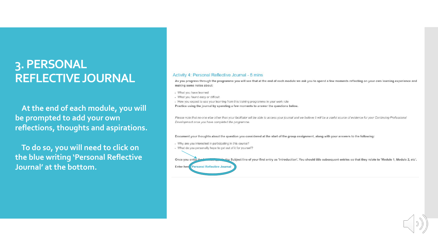## 3. PERSONAL **REFLECTIVE JOURNAL**

At the end of each module, you will be prompted to add your own reflections, thoughts and aspirations.

To do so, you will need to click on the blue writing 'Personal Reflective Journal' at the bottom.

#### Activity 4: Personal Reflective Journal - 5 mins

As you progress through the programme you will see that at the end of each module we ask you to spend a few moments reflecting on your own learning experience and making some notes about:

- . What you have learned
- . What you found easy or difficult
- . How you expect to use your learning from this training programme in your work role
- Practice using the journal by spending a few moments to answer the questions below.

Please note that no-one else other than your facilitator will be able to access your journal and we believe it will be a useful source of evidence for your Continuing Professional Development once you have completed the programme

Document your thoughts about the question you considered at the start of the group assignment, along with your answers to the following:

- · Why are you interested in participating in this course?
- · What do you personally hope to get out of it for yourself?

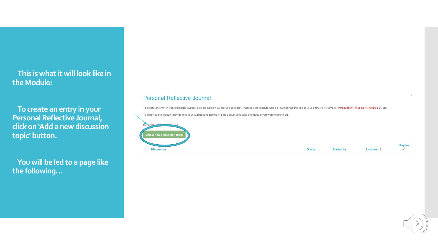### **This is what it will look like in the Module:**

**To create an entry in your Personal Reflective Journal, click on 'Add a new discussion topic' button.**

**You will be led to a page like the following…**

#### **Personal Reflective Journal**

To create an entry in your personal journal, click on 'add a new discussion topic'. Then use the module name or number as the title of your entry. For example, 'Introduction', 'Module 1', 'Module 2', etc.

To return to the module, navigate to your 'Dashboard' (linked in blue above) and onto the module you were working on.



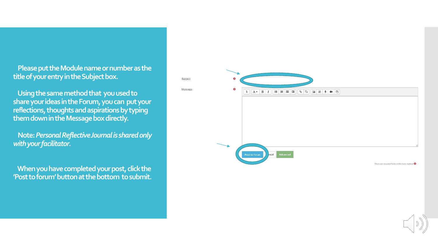**Please put the Module name or number as the title of your entry in the Subject box.**

Subject

Message

**Using the same method that you used to share your ideas in the Forum, you can put your reflections, thoughts and aspirations by typing them down in the Message box directly.**

**Note:** *Personal Reflective Journal is shared only with your facilitator.*

**When you have completed your post, click the 'Post to forum' button at the bottom to submit.**



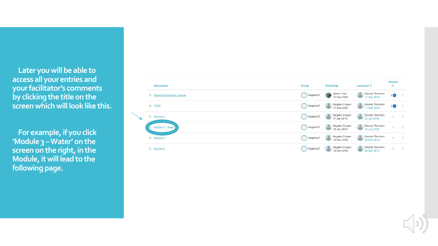**Later you will be able to access all your entries and your facilitator's comments by clicking the title on the screen which will look like this.**

 $\overline{\phantom{0}}$ 

**For example, if you click 'Module 3 –Water' on the screen on the right, in the Module, it will lead to the following page.**

| <b>CARADO O DISTRIBUICATO</b><br><b>Discussion</b> | <b>SERVICE STATE</b><br>Group | <b>Started by</b>                                                                   | Last post 1                                      | <b>Replies</b><br>✓ |                        |
|----------------------------------------------------|-------------------------------|-------------------------------------------------------------------------------------|--------------------------------------------------|---------------------|------------------------|
| ☆ Personal Reflective Journal                      | Nagako21                      | Admin User<br>17 Sep 2020                                                           | Glenda Thornton<br>Glenda Thornt                 | 10                  |                        |
| ☆ TEST                                             | Nagako21                      | Nagako Cooper<br>$\left( \begin{matrix} 0 \\ 1 \end{matrix} \right)$<br>17 Sep 2020 | Glenda Thornton<br>$\circledcirc$<br>17 Sep 2020 | 10                  |                        |
| ☆ Module 2                                         | $\bigcirc$ Nagako21           | Nagako Cooper<br>œ<br>11 Jan 2019                                                   | Glenda Thornton<br>C<br>23 Jan 2019              | $\mathbf{1}$        | $\ddot{\ddot{\imath}}$ |
| Module 3 - Water                                   | Nagako21                      | Nagako Cooper<br>œ<br>14 Jan 2019                                                   | Glenda Thornton<br>$\odot$<br>14 Jan 2019        |                     | Ĵ                      |
| ☆ Module 3                                         | Nagako21                      | Nagako Cooper<br>$\circledcirc$<br>19 Dec 2018                                      | Glenda Thornton<br>Glenda Thorn<br>20 Dec 2018   | $\mathbf{1}$        | $\sim$                 |
| ☆ Module 2                                         | Nagako21                      | Nagako Cooper<br>$\circ$<br>19 Dec 2018                                             | Glenda Thornton<br>$\circ$<br>20 Dec 2018        | $\overline{1}$      | $\mathbf{I}$           |

$$
\bigcirc \mathcal{O}(\mathfrak{d})
$$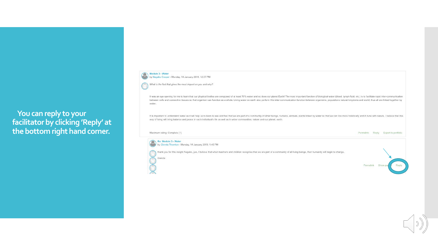### You can reply to your facilitator by clicking 'Reply' at the bottom right hand corner.



Glenda

What is the fact that gives the most impact on you and why?

It was an eye opening for me to learn that our physical bodies are composed of at least 70% water and so does our planet Earth! The most important function of biological water (blood, lymph fluid, etc.) is to facilitate ra between cells and connective tissues so that organism can function as a whole. Living water on earth also perform this inter-communication function between organisms, populations natural kingdoms and world, thus all are li water.

It is important to understand water as it will help us to leam to see and feel that we are part of a community of other beings, humans, animals, plants linked by water so that we can live more holistically and in tune with way of living will bring balance and peace in each individual's life as well as in wider communities, nature and our planet, earth.



thank you for this insight Nagako, yes, I believe that when teachers and children recognise that we are part of a community of all living beings, then humanity will begin to change.



Permalink Reply Export to portfolio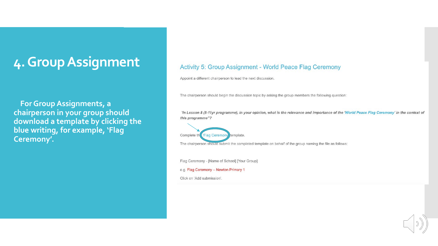## 4. Group Assignment

For Group Assignments, a chairperson in your group should download a template by clicking the blue writing, for example, 'Flag Ceremony'.

### Activity 5: Group Assignment - World Peace Flag Ceremony

Appoint a different chairperson to lead the next discussion.

The chairperson should begin the discussion topic by asking the group members the following question:

"In Lesson 8 (8-11yr programme), in your opinion, what is the relevance and importance of the 'World Peace Flag Ceremony' in the context of this programme"?



The chairperson should submit the completed template on behalf of the group naming the file as follows:

Flag Ceremony - [Name of School] [Your Group]

e.g. Flag Ceremony - Newton Primary 1

Click on 'Add submission'.

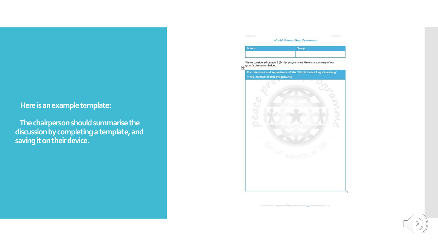### **Here is an example template:**

**The chairperson should summarisethe discussion by completing a template, and saving it on their device.**

### School: Group: L<br>We've considered Lesson 8 (8-11yr programme). Here is a summary of our<br><sub>{+}</sub> group's discussion below. The relevance and importance of the 'World Peace Flag Ceremony' in the context of this programme Ñ. O. Ś  $O$   $\mathcal{C}$

Peace Prevels Programms C May Peace Prevels Co. Earth International Ltd.

World Peace Flag Ceremony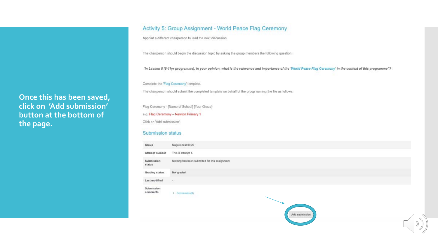### Once this has been saved, click on 'Add submission' button at the bottom of the page.

#### Activity 5: Group Assignment - World Peace Flag Ceremony

Appoint a different chairperson to lead the next discussion.

The chairperson should begin the discussion topic by asking the group members the following question:

'In Lesson 8 (8-11yr programme), in your opinion, what is the relevance and importance of the 'World Peace Flag Ceremony' in the context of this programme"?

Complete the 'Flag Ceremony' template.

The chairperson should submit the completed template on behalf of the group naming the file as follows:

Flag Ceremony - [Name of School] [Your Group] e.g. Flag Ceremony - Newton Primary 1 Click on 'Add submission'.

#### Submission status

| Group                  | Nagako test 09.20                              |
|------------------------|------------------------------------------------|
| Attempt number         | This is attempt 1.                             |
| Submission<br>status.  | Nothing has been submitted for this assignment |
| Grading status         | Not graded                                     |
| Last modified          |                                                |
| Submission<br>comments | Comments (0)<br>Add submission                 |
|                        |                                                |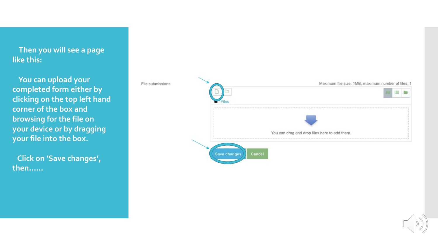**Then you will see a page like this:**

**You can upload your completed form either by clicking on the top left hand corner of the box and browsing for the file on your device or by dragging your file into the box.**

**Click on 'Save changes', then……**



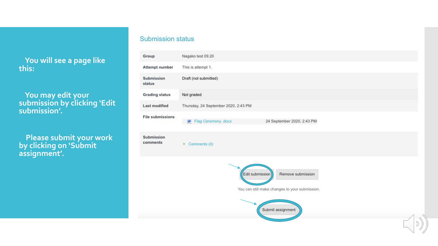**You will see a page like this:**

 **You may edit your submission by clicking 'Edit submission'.**

 **Please submit your work by clicking on 'Submit assignment'.**

### **Submission status**

| Group                                                                                                       | Nagako test 09.20                                      |  |  |  |
|-------------------------------------------------------------------------------------------------------------|--------------------------------------------------------|--|--|--|
| Attempt number                                                                                              | This is attempt 1.                                     |  |  |  |
| Submission<br>status                                                                                        | Draft (not submitted)                                  |  |  |  |
| <b>Grading status</b>                                                                                       | Not graded                                             |  |  |  |
| <b>Last modified</b>                                                                                        | Thursday, 24 September 2020, 2:43 PM                   |  |  |  |
| <b>File submissions</b>                                                                                     | Flag Ceremony .docx<br>24 September 2020, 2:43 PM<br>W |  |  |  |
| Submission<br>comments                                                                                      | Comments (0)<br>Þ                                      |  |  |  |
| Edit submission<br>Remove submission<br>You can still make changes to your submission.<br>Submit assignment |                                                        |  |  |  |
|                                                                                                             | $\Diamond$                                             |  |  |  |
|                                                                                                             | $\mathcal{D}$                                          |  |  |  |